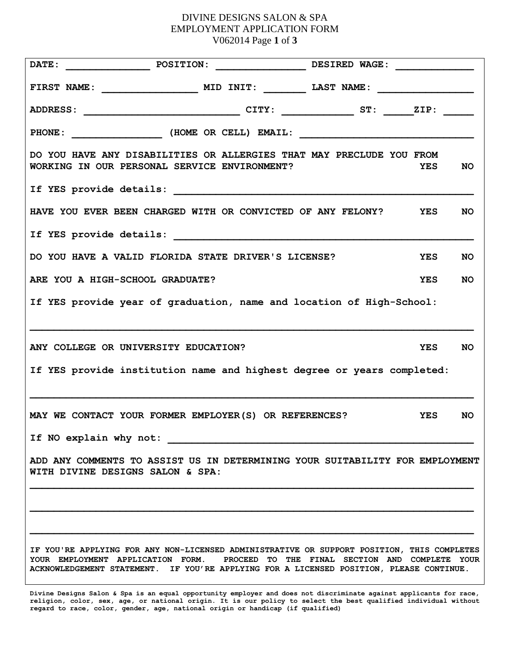## DIVINE DESIGNS SALON & SPA EMPLOYMENT APPLICATION FORM V062014 Page **1** of **3**

| <b>POSITION:</b><br>DATE:                                                                                                                                                                                                                                                   | DESIRED WAGE:           |  |
|-----------------------------------------------------------------------------------------------------------------------------------------------------------------------------------------------------------------------------------------------------------------------------|-------------------------|--|
|                                                                                                                                                                                                                                                                             |                         |  |
|                                                                                                                                                                                                                                                                             |                         |  |
| PHONE: _______________________(HOME OR CELL) EMAIL: ____________________________                                                                                                                                                                                            |                         |  |
| DO YOU HAVE ANY DISABILITIES OR ALLERGIES THAT MAY PRECLUDE YOU FROM<br>WORKING IN OUR PERSONAL SERVICE ENVIRONMENT?                                                                                                                                                        | <b>YES</b><br><b>NO</b> |  |
| If YES provide details:                                                                                                                                                                                                                                                     |                         |  |
| HAVE YOU EVER BEEN CHARGED WITH OR CONVICTED OF ANY FELONY? YES                                                                                                                                                                                                             | NO.                     |  |
|                                                                                                                                                                                                                                                                             |                         |  |
| DO YOU HAVE A VALID FLORIDA STATE DRIVER'S LICENSE?                                                                                                                                                                                                                         | <b>YES</b><br><b>NO</b> |  |
| ARE YOU A HIGH-SCHOOL GRADUATE?                                                                                                                                                                                                                                             | <b>YES</b><br>NO.       |  |
| If YES provide year of graduation, name and location of High-School:                                                                                                                                                                                                        |                         |  |
| ANY COLLEGE OR UNIVERSITY EDUCATION?                                                                                                                                                                                                                                        | <b>YES</b><br><b>NO</b> |  |
| If YES provide institution name and highest degree or years completed:                                                                                                                                                                                                      |                         |  |
| MAY WE CONTACT YOUR FORMER EMPLOYER(S) OR REFERENCES?                                                                                                                                                                                                                       | <b>YES</b><br>NO.       |  |
| If NO explain why not:                                                                                                                                                                                                                                                      |                         |  |
| ADD ANY COMMENTS TO ASSIST US IN DETERMINING YOUR SUITABILITY FOR EMPLOYMENT<br>WITH DIVINE DESIGNS SALON & SPA:                                                                                                                                                            |                         |  |
|                                                                                                                                                                                                                                                                             |                         |  |
|                                                                                                                                                                                                                                                                             |                         |  |
| IF YOU'RE APPLYING FOR ANY NON-LICENSED ADMINISTRATIVE OR SUPPORT POSITION, THIS COMPLETES<br>YOUR EMPLOYMENT APPLICATION FORM.   PROCEED TO THE FINAL SECTION AND COMPLETE YOUR<br>ACKNOWLEDGEMENT STATEMENT. IF YOU'RE APPLYING FOR A LICENSED POSITION, PLEASE CONTINUE. |                         |  |

**Divine Designs Salon & Spa is an equal opportunity employer and does not discriminate against applicants for race, religion, color, sex, age, or national origin. It is our policy to select the best qualified individual without regard to race, color, gender, age, national origin or handicap (if qualified)**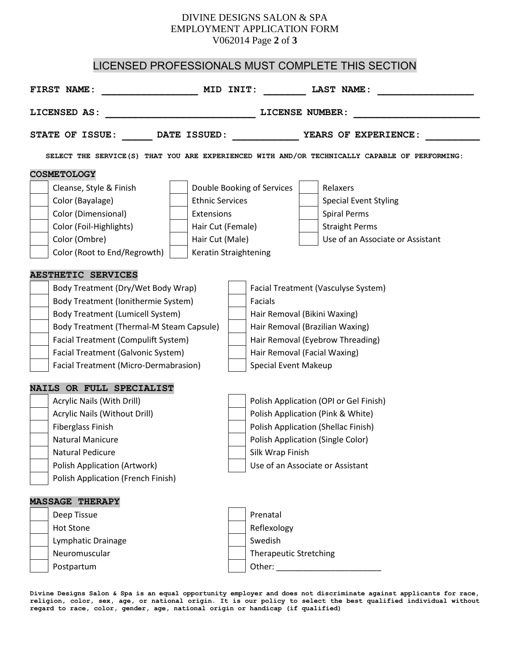# DIVINE DESIGNS SALON & SPA EMPLOYMENT APPLICATION FORM V062014 Page **2** of **3**

# LICENSED PROFESSIONALS MUST COMPLETE THIS SECTION

| FIRST NAME:                                                                                   | MID INIT:<br>LAST NAME:                |  |
|-----------------------------------------------------------------------------------------------|----------------------------------------|--|
| LICENSED AS:<br>LICENSE NUMBER:                                                               |                                        |  |
| STATE OF ISSUE:<br>DATE ISSUED:<br>YEARS OF EXPERIENCE:                                       |                                        |  |
| SELECT THE SERVICE(S) THAT YOU ARE EXPERIENCED WITH AND/OR TECHNICALLY CAPABLE OF PERFORMING: |                                        |  |
| <b>COSMETOLOGY</b>                                                                            |                                        |  |
| Cleanse, Style & Finish                                                                       | Relaxers<br>Double Booking of Services |  |
| Color (Bayalage)<br><b>Ethnic Services</b>                                                    | <b>Special Event Styling</b>           |  |
| Color (Dimensional)<br>Extensions                                                             | <b>Spiral Perms</b>                    |  |
| Color (Foil-Highlights)<br>Hair Cut (Female)                                                  | <b>Straight Perms</b>                  |  |
| Color (Ombre)<br>Hair Cut (Male)                                                              | Use of an Associate or Assistant       |  |
| Color (Root to End/Regrowth)<br>Keratin Straightening                                         |                                        |  |
| <b>AESTHETIC SERVICES</b>                                                                     |                                        |  |
| Body Treatment (Dry/Wet Body Wrap)                                                            | Facial Treatment (Vasculyse System)    |  |
| Body Treatment (Ionithermie System)                                                           | Facials                                |  |
| <b>Body Treatment (Lumicell System)</b>                                                       | Hair Removal (Bikini Waxing)           |  |
| Body Treatment (Thermal-M Steam Capsule)                                                      | Hair Removal (Brazilian Waxing)        |  |
| Facial Treatment (Compulift System)                                                           | Hair Removal (Eyebrow Threading)       |  |
| Facial Treatment (Galvonic System)                                                            | Hair Removal (Facial Waxing)           |  |
| Facial Treatment (Micro-Dermabrasion)                                                         | <b>Special Event Makeup</b>            |  |
| NAILS OR FULL SPECIALIST                                                                      |                                        |  |
| Acrylic Nails (With Drill)                                                                    | Polish Application (OPI or Gel Finish) |  |
| Acrylic Nails (Without Drill)                                                                 | Polish Application (Pink & White)      |  |
| <b>Fiberglass Finish</b>                                                                      | Polish Application (Shellac Finish)    |  |
| <b>Natural Manicure</b>                                                                       | Polish Application (Single Color)      |  |
| <b>Natural Pedicure</b>                                                                       | Silk Wrap Finish                       |  |
| <b>Polish Application (Artwork)</b>                                                           | Use of an Associate or Assistant       |  |
| Polish Application (French Finish)                                                            |                                        |  |
| <b>MASSAGE THERAPY</b>                                                                        |                                        |  |
| Deep Tissue                                                                                   | Prenatal                               |  |
| <b>Hot Stone</b>                                                                              | Reflexology                            |  |
| Lymphatic Drainage                                                                            | Swedish                                |  |
| Neuromuscular                                                                                 | <b>Therapeutic Stretching</b>          |  |
| Postpartum                                                                                    |                                        |  |
|                                                                                               |                                        |  |

**Divine Designs Salon & Spa is an equal opportunity employer and does not discriminate against applicants for race, religion, color, sex, age, or national origin. It is our policy to select the best qualified individual without regard to race, color, gender, age, national origin or handicap (if qualified)**